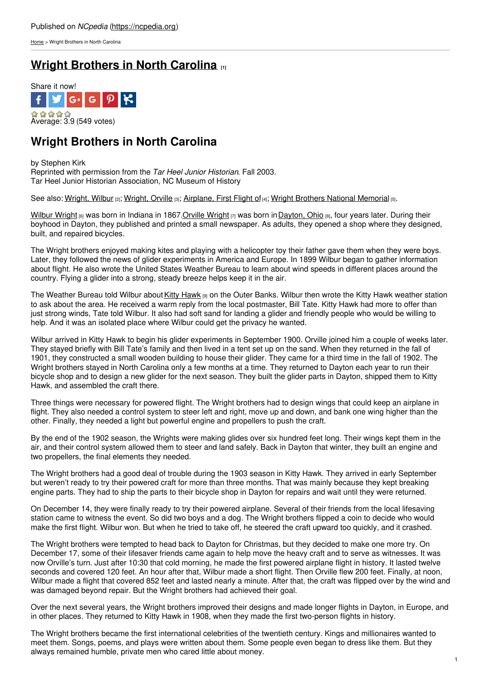[Home](https://ncpedia.org/) > Wright Brothers in North Carolina

# **Wright [Brothers](https://ncpedia.org/aviation/wright-brothers) in North Carolina [1]**



# **Wright Brothers in North Carolina**

by Stephen Kirk Reprinted with permission from the *Tar Heel Junior Historian*. Fall 2003. Tar Heel Junior Historian Association, NC Museum of History

See also: [Wright,](https://ncpedia.org/biography/wright-orville) Wilbur [2]; Wright, Orville [3]; [Airplane,](https://ncpedia.org/airplane-first-flight) First Flight of [4]; Wright Brothers National [Memorial](https://ncpedia.org/wright-brothers-national-memorial) [5].

[Wilbur](http://wright.nasa.gov/wilbur.htm) Wright (6) was born in Indiana in [1867.Orville](http://www.social9.com) [Wright](http://wright.nasa.gov/orville.htm) [7] was born in [Dayton,](http://www.cityofdayton.org) Ohio [8], four years later. During their boyhood in Dayton, they published and printed a small newspaper. As adults, they opened a shop where they designed, built, and repaired bicycles.

The Wright brothers enjoyed making kites and playing with a helicopter toy their father gave them when they were boys. Later, they followed the news of glider experiments in America and Europe. In 1899 Wilbur began to gather information about flight. He also wrote the United States Weather Bureau to learn about wind speeds in different places around the country. Flying a glider into a strong, steady breeze helps keep it in the air.

The Weather Bureau told Wilbur about Kitty [Hawk](http://www.townofkittyhawk.org/) [9] on the Outer Banks. Wilbur then wrote the Kitty Hawk weather station to ask about the area. He received a warm reply from the local postmaster, Bill Tate. Kitty Hawk had more to offer than just strong winds, Tate told Wilbur. It also had soft sand for landing a glider and friendly people who would be willing to help. And it was an isolated place where Wilbur could get the privacy he wanted.

Wilbur arrived in Kitty Hawk to begin his glider experiments in September 1900. Orville joined him a couple of weeks later. They stayed briefly with Bill Tate's family and then lived in a tent set up on the sand. When they returned in the fall of 1901, they constructed a small wooden building to house their glider. They came for a third time in the fall of 1902. The Wright brothers stayed in North Carolina only a few months at a time. They returned to Dayton each year to run their bicycle shop and to design a new glider for the next season. They built the glider parts in Dayton, shipped them to Kitty Hawk, and assembled the craft there.

Three things were necessary for powered flight. The Wright brothers had to design wings that could keep an airplane in flight. They also needed a control system to steer left and right, move up and down, and bank one wing higher than the other. Finally, they needed a light but powerful engine and propellers to push the craft.

By the end of the 1902 season, the Wrights were making glides over six hundred feet long. Their wings kept them in the air, and their control system allowed them to steer and land safely. Back in Dayton that winter, they built an engine and two propellers, the final elements they needed.

The Wright brothers had a good deal of trouble during the 1903 season in Kitty Hawk. They arrived in early September but weren't ready to try their powered craft for more than three months. That was mainly because they kept breaking engine parts. They had to ship the parts to their bicycle shop in Dayton for repairs and wait until they were returned.

On December 14, they were finally ready to try their powered airplane. Several of their friends from the local lifesaving station came to witness the event. So did two boys and a dog. The Wright brothers flipped a coin to decide who would make the first flight. Wilbur won. But when he tried to take off, he steered the craft upward too quickly, and it crashed.

The Wright brothers were tempted to head back to Dayton for Christmas, but they decided to make one more try. On December 17, some of their lifesaver friends came again to help move the heavy craft and to serve as witnesses. It was now Orville's turn. Just after 10:30 that cold morning, he made the first powered airplane flight in history. It lasted twelve seconds and covered 120 feet. An hour after that, Wilbur made a short flight. Then Orville flew 200 feet. Finally, at noon, Wilbur made a flight that covered 852 feet and lasted nearly a minute. After that, the craft was flipped over by the wind and was damaged beyond repair. But the Wright brothers had achieved their goal.

Over the next several years, the Wright brothers improved their designs and made longer flights in Dayton, in Europe, and in other places. They returned to Kitty Hawk in 1908, when they made the first two-person flights in history.

The Wright brothers became the first international celebrities of the twentieth century. Kings and millionaires wanted to meet them. Songs, poems, and plays were written about them. Some people even began to dress like them. But they always remained humble, private men who cared little about money.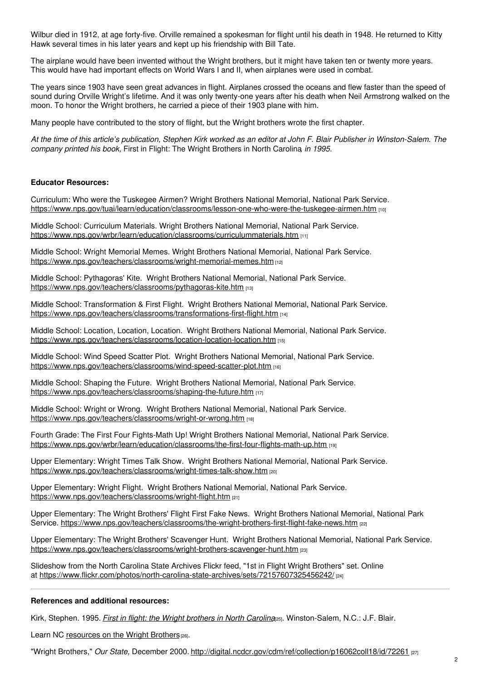Wilbur died in 1912, at age forty-five. Orville remained a spokesman for flight until his death in 1948. He returned to Kitty Hawk several times in his later years and kept up his friendship with Bill Tate.

The airplane would have been invented without the Wright brothers, but it might have taken ten or twenty more years. This would have had important effects on World Wars I and II, when airplanes were used in combat.

The years since 1903 have seen great advances in flight. Airplanes crossed the oceans and flew faster than the speed of sound during Orville Wright's lifetime. And it was only twenty-one years after his death when Neil Armstrong walked on the moon. To honor the Wright brothers, he carried a piece of their 1903 plane with him.

Many people have contributed to the story of flight, but the Wright brothers wrote the first chapter.

At the time of this article's publication, Stephen Kirk worked as an editor at John F. Blair Publisher in Winston-Salem. The *company printed his book,* First in Flight: The Wright Brothers in North Carolina*, in 1995.*

### **Educator Resources:**

Curriculum: Who were the Tuskegee Airmen? Wright Brothers National Memorial, National Park Service. <https://www.nps.gov/tuai/learn/education/classrooms/lesson-one-who-were-the-tuskegee-airmen.htm> [10]

Middle School: Curriculum Materials. Wright Brothers National Memorial, National Park Service. <https://www.nps.gov/wrbr/learn/education/classrooms/curriculummaterials.htm> [11]

Middle School: Wright Memorial Memes. Wright Brothers National Memorial, National Park Service. <https://www.nps.gov/teachers/classrooms/wright-memorial-memes.htm> [12]

Middle School: Pythagoras' Kite. Wright Brothers National Memorial, National Park Service. <https://www.nps.gov/teachers/classrooms/pythagoras-kite.htm> [13]

Middle School: Transformation & First Flight. Wright Brothers National Memorial, National Park Service. <https://www.nps.gov/teachers/classrooms/transformations-first-flight.htm> [14]

Middle School: Location, Location, Location. Wright Brothers National Memorial, National Park Service. <https://www.nps.gov/teachers/classrooms/location-location-location.htm> [15]

Middle School: Wind Speed Scatter Plot. Wright Brothers National Memorial, National Park Service. <https://www.nps.gov/teachers/classrooms/wind-speed-scatter-plot.htm> [16]

Middle School: Shaping the Future. Wright Brothers National Memorial, National Park Service. <https://www.nps.gov/teachers/classrooms/shaping-the-future.htm> [17]

Middle School: Wright or Wrong. Wright Brothers National Memorial, National Park Service. <https://www.nps.gov/teachers/classrooms/wright-or-wrong.htm> [18]

Fourth Grade: The First Four Fights-Math Up! Wright Brothers National Memorial, National Park Service. <https://www.nps.gov/wrbr/learn/education/classrooms/the-first-four-flights-math-up.htm> [19]

Upper Elementary: Wright Times Talk Show. Wright Brothers National Memorial, National Park Service. <https://www.nps.gov/teachers/classrooms/wright-times-talk-show.htm> [20]

Upper Elementary: Wright Flight. Wright Brothers National Memorial, National Park Service. <https://www.nps.gov/teachers/classrooms/wright-flight.htm> [21]

Upper Elementary: The Wright Brothers' Flight First Fake News. Wright Brothers National Memorial, National Park Service. <https://www.nps.gov/teachers/classrooms/the-wright-brothers-first-flight-fake-news.htm> [22]

Upper Elementary: The Wright Brothers' Scavenger Hunt. Wright Brothers National Memorial, National Park Service. <https://www.nps.gov/teachers/classrooms/wright-brothers-scavenger-hunt.htm> [23]

Slideshow from the North Carolina State Archives Flickr feed, "1st in Flight Wright Brothers" set. Online at <https://www.flickr.com/photos/north-carolina-state-archives/sets/72157607325456242/> [24]

### **References and additional resources:**

Kirk, Stephen. 1995. *First in flight: the Wright [brothers](https://www.worldcat.org/oclc/32087665) in North Carolina*[25]. Winston-Salem, N.C.: J.F. Blair.

Learn NC [resources](http://www.learnnc.org/search?aphrase=wright+brothers) on the Wright Brothers<sup>[26]</sup>.

"Wright Brothers," *Our State,* December 2000. <http://digital.ncdcr.gov/cdm/ref/collection/p16062coll18/id/72261> [27]